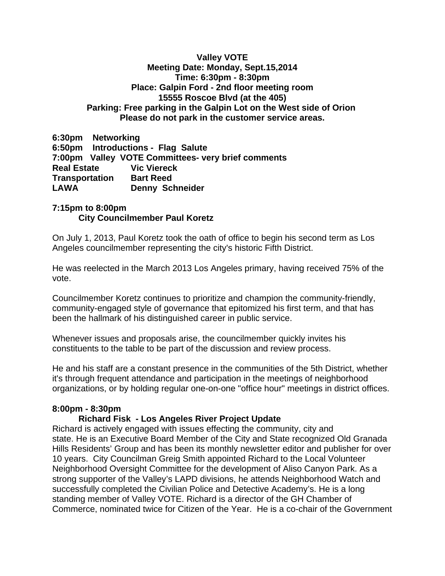#### **Valley VOTE Meeting Date: Monday, Sept.15,2014 Time: 6:30pm - 8:30pm Place: Galpin Ford - 2nd floor meeting room 15555 Roscoe Blvd (at the 405) Parking: Free parking in the Galpin Lot on the West side of Orion Please do not park in the customer service areas.**

**6:30pm Networking 6:50pm Introductions - Flag Salute 7:00pm Valley VOTE Committees- very brief comments Real Estate Transportation Bart Reed LAWA Denny Schneider** 

# **7:15pm to 8:00pm City Councilmember Paul Koretz**

On July 1, 2013, Paul Koretz took the oath of office to begin his second term as Los Angeles councilmember representing the city's historic Fifth District.

He was reelected in the March 2013 Los Angeles primary, having received 75% of the vote.

Councilmember Koretz continues to prioritize and champion the community-friendly, community-engaged style of governance that epitomized his first term, and that has been the hallmark of his distinguished career in public service.

Whenever issues and proposals arise, the councilmember quickly invites his constituents to the table to be part of the discussion and review process.

He and his staff are a constant presence in the communities of the 5th District, whether it's through frequent attendance and participation in the meetings of neighborhood organizations, or by holding regular one-on-one "office hour" meetings in district offices.

### **8:00pm - 8:30pm**

### **Richard Fisk - Los Angeles River Project Update**

Richard is actively engaged with issues effecting the community, city and state. He is an Executive Board Member of the City and State recognized Old Granada Hills Residents' Group and has been its monthly newsletter editor and publisher for over 10 years. City Councilman Greig Smith appointed Richard to the Local Volunteer Neighborhood Oversight Committee for the development of Aliso Canyon Park. As a strong supporter of the Valley's LAPD divisions, he attends Neighborhood Watch and successfully completed the Civilian Police and Detective Academy's. He is a long standing member of Valley VOTE. Richard is a director of the GH Chamber of Commerce, nominated twice for Citizen of the Year. He is a co-chair of the Government